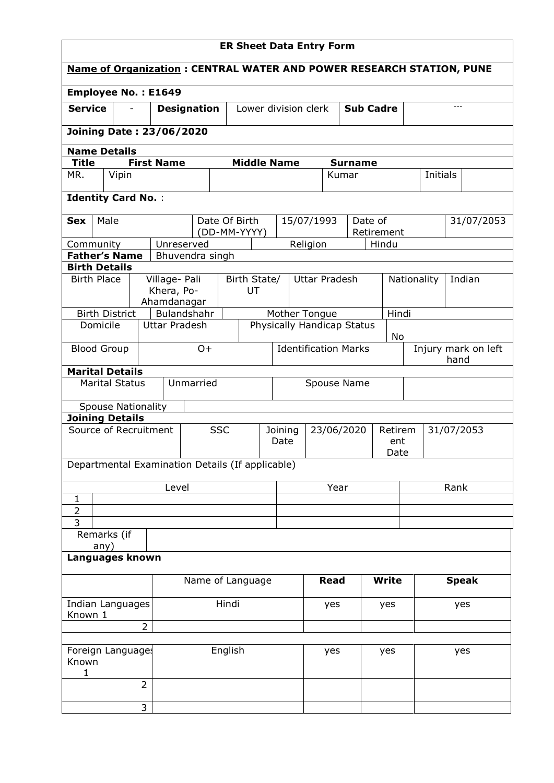| <b>ER Sheet Data Entry Form</b>                                             |       |                |                                            |                             |                    |                                                         |                             |                      |             |                            |                     |              |                       |       |            |
|-----------------------------------------------------------------------------|-------|----------------|--------------------------------------------|-----------------------------|--------------------|---------------------------------------------------------|-----------------------------|----------------------|-------------|----------------------------|---------------------|--------------|-----------------------|-------|------------|
| <b>Name of Organization: CENTRAL WATER AND POWER RESEARCH STATION, PUNE</b> |       |                |                                            |                             |                    |                                                         |                             |                      |             |                            |                     |              |                       |       |            |
| <b>Employee No.: E1649</b>                                                  |       |                |                                            |                             |                    |                                                         |                             |                      |             |                            |                     |              |                       |       |            |
| <b>Service</b>                                                              |       |                | <b>Designation</b><br>Lower division clerk |                             |                    |                                                         |                             |                      |             |                            | <b>Sub Cadre</b>    |              |                       | $---$ |            |
| <b>Joining Date: 23/06/2020</b>                                             |       |                |                                            |                             |                    |                                                         |                             |                      |             |                            |                     |              |                       |       |            |
| <b>Name Details</b>                                                         |       |                |                                            |                             |                    |                                                         |                             |                      |             |                            |                     |              |                       |       |            |
| <b>Title</b>                                                                |       |                | <b>First Name</b>                          |                             | <b>Middle Name</b> |                                                         |                             |                      |             | <b>Surname</b>             |                     |              |                       |       |            |
| MR.                                                                         | Vipin |                |                                            |                             |                    |                                                         |                             |                      |             | Kumar                      |                     |              | Initials              |       |            |
| <b>Identity Card No.:</b>                                                   |       |                |                                            |                             |                    |                                                         |                             |                      |             |                            |                     |              |                       |       |            |
| Male<br><b>Sex</b>                                                          |       |                |                                            |                             | Date Of Birth      |                                                         |                             | 15/07/1993           |             | Date of                    |                     |              |                       |       | 31/07/2053 |
|                                                                             |       |                | Unreserved                                 |                             | (DD-MM-YYYY)       |                                                         |                             |                      |             |                            | Retirement<br>Hindu |              |                       |       |            |
| Community<br><b>Father's Name</b>                                           |       |                |                                            | Bhuvendra singh             |                    |                                                         |                             | Religion             |             |                            |                     |              |                       |       |            |
| <b>Birth Details</b>                                                        |       |                |                                            |                             |                    |                                                         |                             |                      |             |                            |                     |              |                       |       |            |
| <b>Birth Place</b>                                                          |       |                | Village- Pali<br>Khera, Po-<br>Ahamdanagar |                             | Birth State/<br>UT |                                                         |                             | <b>Uttar Pradesh</b> |             |                            |                     |              | Indian<br>Nationality |       |            |
| <b>Birth District</b>                                                       |       |                |                                            | Bulandshahr                 |                    |                                                         |                             | Mother Tongue        |             |                            | Hindi               |              |                       |       |            |
| Domicile                                                                    |       |                | <b>Uttar Pradesh</b>                       |                             |                    |                                                         |                             |                      |             | Physically Handicap Status | No                  |              |                       |       |            |
| <b>Blood Group</b>                                                          |       |                | $O +$                                      | <b>Identification Marks</b> |                    |                                                         | Injury mark on left<br>hand |                      |             |                            |                     |              |                       |       |            |
| <b>Marital Details</b>                                                      |       |                |                                            |                             |                    |                                                         |                             |                      |             |                            |                     |              |                       |       |            |
| <b>Marital Status</b>                                                       |       |                |                                            | Unmarried                   |                    |                                                         |                             |                      | Spouse Name |                            |                     |              |                       |       |            |
| <b>Spouse Nationality</b>                                                   |       |                |                                            |                             |                    |                                                         |                             |                      |             |                            |                     |              |                       |       |            |
| <b>Joining Details</b>                                                      |       |                |                                            |                             |                    |                                                         |                             |                      |             |                            |                     |              |                       |       |            |
| Source of Recruitment                                                       |       |                |                                            |                             | <b>SSC</b>         | 23/06/2020<br>Joining<br>Retirem<br>Date<br>ent<br>Date |                             |                      | 31/07/2053  |                            |                     |              |                       |       |            |
| Departmental Examination Details (If applicable)                            |       |                |                                            |                             |                    |                                                         |                             |                      |             |                            |                     |              |                       |       |            |
|                                                                             |       |                | Level                                      |                             |                    |                                                         |                             |                      | Year        |                            |                     |              |                       | Rank  |            |
| $\mathbf{1}$                                                                |       |                |                                            |                             |                    |                                                         |                             |                      |             |                            |                     |              |                       |       |            |
| $\overline{2}$<br>3                                                         |       |                |                                            |                             |                    |                                                         |                             |                      |             |                            |                     |              |                       |       |            |
| Remarks (if                                                                 |       |                |                                            |                             |                    |                                                         |                             |                      |             |                            |                     |              |                       |       |            |
| any)                                                                        |       |                |                                            |                             |                    |                                                         |                             |                      |             |                            |                     |              |                       |       |            |
| Languages known                                                             |       |                |                                            |                             |                    |                                                         |                             |                      |             |                            |                     |              |                       |       |            |
|                                                                             |       |                |                                            | Name of Language            |                    |                                                         | <b>Read</b>                 |                      |             | <b>Write</b>               |                     | <b>Speak</b> |                       |       |            |
| Indian Languages<br>Known 1                                                 |       |                |                                            | Hindi                       |                    |                                                         |                             | yes<br>yes           |             | yes                        |                     |              |                       |       |            |
|                                                                             |       | $\overline{2}$ |                                            |                             |                    |                                                         |                             |                      |             |                            |                     |              |                       |       |            |
| Foreign Language:                                                           |       |                |                                            |                             | English            |                                                         |                             |                      | yes         |                            | yes                 |              |                       | yes   |            |
| Known<br>1                                                                  |       |                |                                            |                             |                    |                                                         |                             |                      |             |                            |                     |              |                       |       |            |
|                                                                             |       | $\overline{2}$ |                                            |                             |                    |                                                         |                             |                      |             |                            |                     |              |                       |       |            |
|                                                                             |       | 3              |                                            |                             |                    |                                                         |                             |                      |             |                            |                     |              |                       |       |            |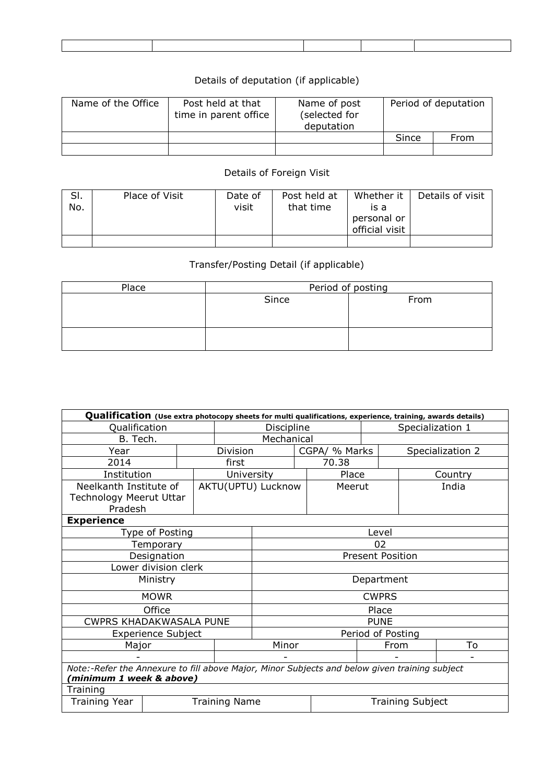## Details of deputation (if applicable)

| Name of the Office | Post held at that<br>time in parent office | Name of post<br>(selected for<br>deputation | Period of deputation |      |  |
|--------------------|--------------------------------------------|---------------------------------------------|----------------------|------|--|
|                    |                                            |                                             | Since                | From |  |
|                    |                                            |                                             |                      |      |  |

## Details of Foreign Visit

| SI.<br>No. | Place of Visit | Date of<br>visit | Post held at<br>that time | Whether it<br>is a<br>personal or<br>official visit | Details of visit |
|------------|----------------|------------------|---------------------------|-----------------------------------------------------|------------------|
|            |                |                  |                           |                                                     |                  |

## Transfer/Posting Detail (if applicable)

| Place | Period of posting |      |  |  |  |  |
|-------|-------------------|------|--|--|--|--|
|       | Since             | From |  |  |  |  |
|       |                   |      |  |  |  |  |
|       |                   |      |  |  |  |  |
|       |                   |      |  |  |  |  |
|       |                   |      |  |  |  |  |

| Qualification (Use extra photocopy sheets for multi qualifications, experience, training, awards details)                |                           |  |            |                                |               |        |       |                         |                  |  |
|--------------------------------------------------------------------------------------------------------------------------|---------------------------|--|------------|--------------------------------|---------------|--------|-------|-------------------------|------------------|--|
| Qualification                                                                                                            |                           |  |            | Discipline<br>Specialization 1 |               |        |       |                         |                  |  |
| B. Tech.                                                                                                                 |                           |  |            | Mechanical                     |               |        |       |                         |                  |  |
| Year                                                                                                                     |                           |  | Division   |                                | CGPA/ % Marks |        |       |                         | Specialization 2 |  |
| 2014                                                                                                                     |                           |  | first      |                                |               | 70.38  |       |                         |                  |  |
| Institution                                                                                                              |                           |  | University |                                |               | Place  |       |                         | Country          |  |
| Neelkanth Institute of<br>Technology Meerut Uttar<br>Pradesh                                                             |                           |  |            | AKTU(UPTU) Lucknow             |               | Meerut |       |                         | India            |  |
| <b>Experience</b>                                                                                                        |                           |  |            |                                |               |        |       |                         |                  |  |
|                                                                                                                          | Type of Posting           |  |            |                                |               |        | Level |                         |                  |  |
|                                                                                                                          | Temporary                 |  |            | 02                             |               |        |       |                         |                  |  |
|                                                                                                                          | Designation               |  |            | <b>Present Position</b>        |               |        |       |                         |                  |  |
|                                                                                                                          | Lower division clerk      |  |            |                                |               |        |       |                         |                  |  |
|                                                                                                                          | Ministry                  |  |            | Department                     |               |        |       |                         |                  |  |
|                                                                                                                          | <b>MOWR</b>               |  |            | <b>CWPRS</b>                   |               |        |       |                         |                  |  |
|                                                                                                                          | Office                    |  |            | Place                          |               |        |       |                         |                  |  |
| CWPRS KHADAKWASALA PUNE                                                                                                  |                           |  |            | <b>PUNE</b>                    |               |        |       |                         |                  |  |
|                                                                                                                          | <b>Experience Subject</b> |  |            | Period of Posting              |               |        |       |                         |                  |  |
| Major                                                                                                                    |                           |  |            |                                | Minor<br>From |        |       | To                      |                  |  |
|                                                                                                                          |                           |  |            |                                |               |        |       |                         |                  |  |
| Note:-Refer the Annexure to fill above Major, Minor Subjects and below given training subject<br>minimum 1 week & above) |                           |  |            |                                |               |        |       |                         |                  |  |
| Training                                                                                                                 |                           |  |            |                                |               |        |       |                         |                  |  |
| <b>Training Year</b>                                                                                                     | <b>Training Name</b>      |  |            |                                |               |        |       | <b>Training Subject</b> |                  |  |